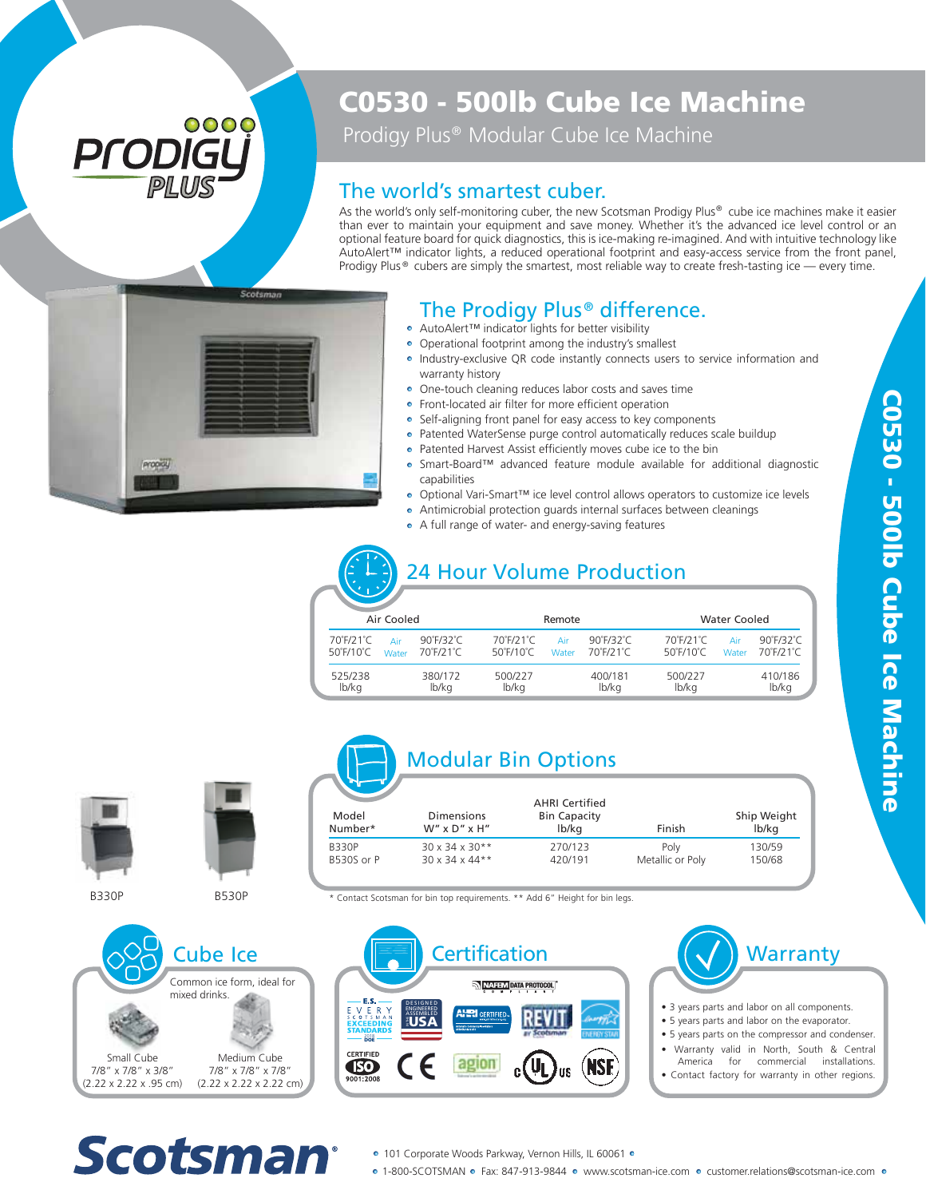## 0000 Prodi

## C0530 - 500lb Cube Ice Machine

Prodigy Plus<sup>®</sup> Modular Cube Ice Machine

#### The world's smartest cuber.

As the world's only self-monitoring cuber, the new Scotsman Prodigy Plus® cube ice machines make it easier than ever to maintain your equipment and save money. Whether it's the advanced ice level control or an optional feature board for quick diagnostics, this is ice-making re-imagined. And with intuitive technology like AutoAlert™ indicator lights, a reduced operational footprint and easy-access service from the front panel, Prodigy Plus  $\circ$  cubers are simply the smartest, most reliable way to create fresh-tasting ice — every time.



#### The Prodigy Plus<sup>®</sup> difference.

- AutoAlert™ indicator lights for better visibility
- Operational footprint among the industry's smallest • Industry-exclusive QR code instantly connects users to service information and warranty history The **Prodigy Plus<sup>®</sup> differe**<br>AutoAlert<sup>TM</sup> indicator lights for better visibility<br>Operational footprint among the industry's smalle<br>Industry-exclusive QR code instantly connects us<br>warranty history<br>One-touch cleaning redu
- One-touch cleaning reduces labor costs and saves time
- **•** Front-located air filter for more efficient operation
- Self-aligning front panel for easy access to key components
- Patented WaterSense purge control automatically reduces scale buildup
- Patented Harvest Assist efficiently moves cube ice to the bin
- Smart-Board™ advanced feature module available for additional diagnostic capabilities
- Optional Vari-Smart™ ice level control allows operators to customize ice levels
- Antimicrobial protection guards internal surfaces between cleanings<br>• A full range of water- and energy-saving features
- 

### 24 Hour Volume Production

| Air Cooled |                                             |              |                                         | Remote                                      |              |                                         | <b>Water Cooled</b>                                         |                                         |  |
|------------|---------------------------------------------|--------------|-----------------------------------------|---------------------------------------------|--------------|-----------------------------------------|-------------------------------------------------------------|-----------------------------------------|--|
|            | 70°F/21°C<br>$50^{\circ}$ F/10 $^{\circ}$ C | Air<br>Water | $90^\circ$ F/32 $^\circ$ C<br>70°F/21°C | 70°F/21°C<br>$50^{\circ}$ F/10 $^{\circ}$ C | Air<br>Water | $90^\circ$ F/32 $^\circ$ C<br>70°F/21°C | 70°F/21°C<br>Air<br>$50^{\circ}$ F/10 $^{\circ}$ C<br>Water | $90^\circ$ F/32 $^\circ$ C<br>70°F/21°C |  |
|            | 525/238<br>lb/kg                            |              | 380/172<br>lb/kg                        | 500/227<br>lb/kg                            |              | 400/181<br>lb/kg                        | 500/227<br>lb/kg                                            | 410/186<br>lb/kg                        |  |



B330P



B530P

#### Modular Bin Options

| Model<br>Number* | Dimensions<br>$W''$ x D" x H" | <b>AHRI Certified</b><br><b>Bin Capacity</b><br>lb/kg | Finish           | Ship Weight<br>lb/kg |
|------------------|-------------------------------|-------------------------------------------------------|------------------|----------------------|
| <b>B330P</b>     | $30 \times 34 \times 30**$    | 270/123                                               | Poly             | 130/59               |
| B530S or P       | 30 x 34 x 44**                | 420/191                                               | Metallic or Poly | 150/68               |

\* Contact Scotsman for bin top requirements. \*\* Add 6" Height for bin legs.







- 3 years parts and labor on all components.
- 5 years parts and labor on the evaporator.
- 5 years parts on the compressor and condenser.
- Warranty valid in North, South & Central for commercial installations.
- Contact factory for warranty in other regions.

# **Scotsman®**

- 101 Corporate Woods Parkway, Vernon Hills, IL 60061 •
- 1-800-SCOTSMAN Fax: 847-913-9844 www.scotsman-ice.com customer.relations@scotsman-ice.com •